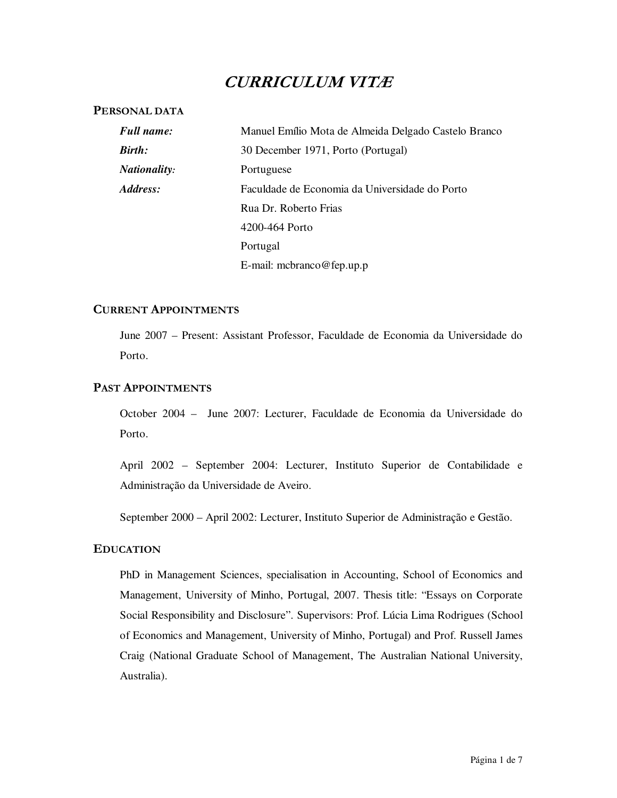# **CURRICULUM VITÆ**

## **PERSONAL DATA**

| <b>Full name:</b>   | Manuel Emílio Mota de Almeida Delgado Castelo Branco |
|---------------------|------------------------------------------------------|
| <b>Birth:</b>       | 30 December 1971, Porto (Portugal)                   |
| <b>Nationality:</b> | Portuguese                                           |
| Address:            | Faculdade de Economia da Universidade do Porto       |
|                     | Rua Dr. Roberto Frias                                |
|                     | 4200-464 Porto                                       |
|                     | Portugal                                             |
|                     | E-mail: mcbranco@fep.up.p                            |

# **CURRENT APPOINTMENTS**

June 2007 – Present: Assistant Professor, Faculdade de Economia da Universidade do Porto.

# **PAST APPOINTMENTS**

October 2004 – June 2007: Lecturer, Faculdade de Economia da Universidade do Porto.

April 2002 – September 2004: Lecturer, Instituto Superior de Contabilidade e Administração da Universidade de Aveiro.

September 2000 – April 2002: Lecturer, Instituto Superior de Administração e Gestão.

# **EDUCATION**

PhD in Management Sciences, specialisation in Accounting, School of Economics and Management, University of Minho, Portugal, 2007. Thesis title: "Essays on Corporate Social Responsibility and Disclosure". Supervisors: Prof. Lúcia Lima Rodrigues (School of Economics and Management, University of Minho, Portugal) and Prof. Russell James Craig (National Graduate School of Management, The Australian National University, Australia).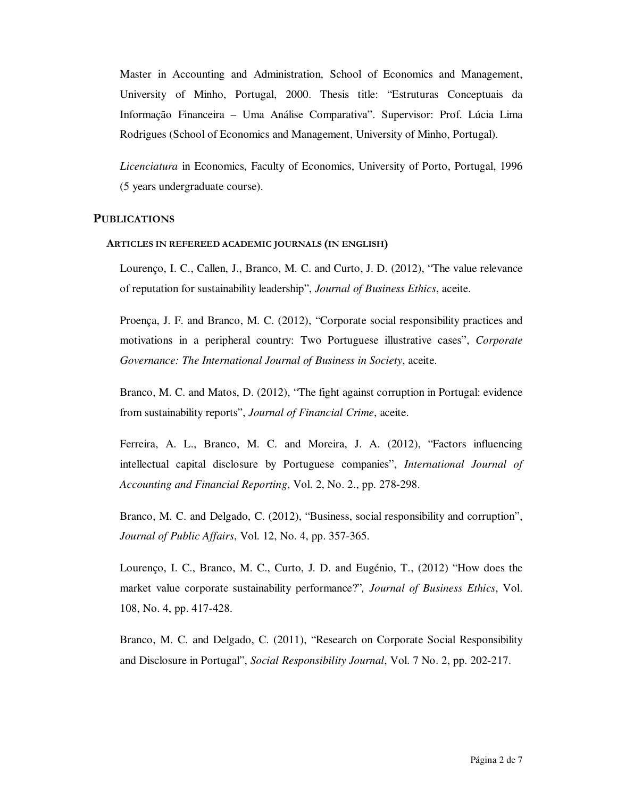Master in Accounting and Administration, School of Economics and Management, University of Minho, Portugal, 2000. Thesis title: "Estruturas Conceptuais da Informação Financeira – Uma Análise Comparativa". Supervisor: Prof. Lúcia Lima Rodrigues (School of Economics and Management, University of Minho, Portugal).

*Licenciatura* in Economics, Faculty of Economics, University of Porto, Portugal, 1996 (5 years undergraduate course).

# **PUBLICATIONS**

#### **ARTICLES IN REFEREED ACADEMIC JOURNALS (IN ENGLISH)**

Lourenço, I. C., Callen, J., Branco, M. C. and Curto, J. D. (2012), "The value relevance of reputation for sustainability leadership", *Journal of Business Ethics*, aceite.

Proença, J. F. and Branco, M. C. (2012), "Corporate social responsibility practices and motivations in a peripheral country: Two Portuguese illustrative cases", *Corporate Governance: The International Journal of Business in Society*, aceite.

Branco, M. C. and Matos, D. (2012), "The fight against corruption in Portugal: evidence from sustainability reports", *Journal of Financial Crime*, aceite.

Ferreira, A. L., Branco, M. C. and Moreira, J. A. (2012), "Factors influencing intellectual capital disclosure by Portuguese companies", *International Journal of Accounting and Financial Reporting*, Vol. 2, No. 2., pp. 278-298.

Branco, M. C. and Delgado, C. (2012), "Business, social responsibility and corruption", *Journal of Public Affairs*, Vol. 12, No. 4, pp. 357-365.

Lourenço, I. C., Branco, M. C., Curto, J. D. and Eugénio, T., (2012) "How does the market value corporate sustainability performance?"*, Journal of Business Ethics*, Vol. 108, No. 4, pp. 417-428.

Branco, M. C. and Delgado, C. (2011), "Research on Corporate Social Responsibility and Disclosure in Portugal", *Social Responsibility Journal*, Vol. 7 No. 2, pp. 202-217.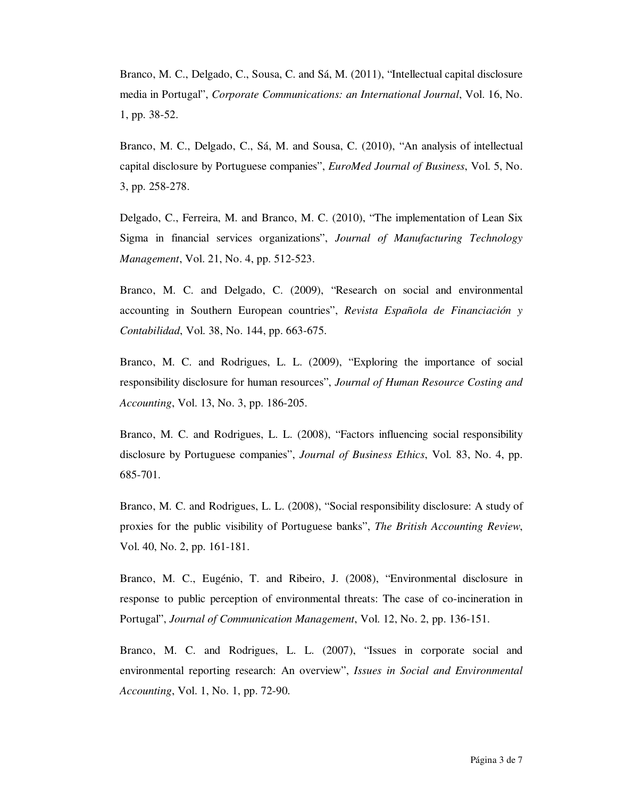Branco, M. C., Delgado, C., Sousa, C. and Sá, M. (2011), "Intellectual capital disclosure media in Portugal", *Corporate Communications: an International Journal*, Vol. 16, No. 1, pp. 38-52.

Branco, M. C., Delgado, C., Sá, M. and Sousa, C. (2010), "An analysis of intellectual capital disclosure by Portuguese companies", *EuroMed Journal of Business*, Vol. 5, No. 3, pp. 258-278.

Delgado, C., Ferreira, M. and Branco, M. C. (2010), "The implementation of Lean Six Sigma in financial services organizations", *Journal of Manufacturing Technology Management*, Vol. 21, No. 4, pp. 512-523.

Branco, M. C. and Delgado, C. (2009), "Research on social and environmental accounting in Southern European countries", *Revista Española de Financiación y Contabilidad*, Vol. 38, No. 144, pp. 663-675.

Branco, M. C. and Rodrigues, L. L. (2009), "Exploring the importance of social responsibility disclosure for human resources", *Journal of Human Resource Costing and Accounting*, Vol. 13, No. 3, pp. 186-205.

Branco, M. C. and Rodrigues, L. L. (2008), "Factors influencing social responsibility disclosure by Portuguese companies", *Journal of Business Ethics*, Vol. 83, No. 4, pp. 685-701.

Branco, M. C. and Rodrigues, L. L. (2008), "Social responsibility disclosure: A study of proxies for the public visibility of Portuguese banks", *The British Accounting Review*, Vol. 40, No. 2, pp. 161-181.

Branco, M. C., Eugénio, T. and Ribeiro, J. (2008), "Environmental disclosure in response to public perception of environmental threats: The case of co-incineration in Portugal", *Journal of Communication Management*, Vol. 12, No. 2, pp. 136-151.

Branco, M. C. and Rodrigues, L. L. (2007), "Issues in corporate social and environmental reporting research: An overview", *Issues in Social and Environmental Accounting*, Vol. 1, No. 1, pp. 72-90.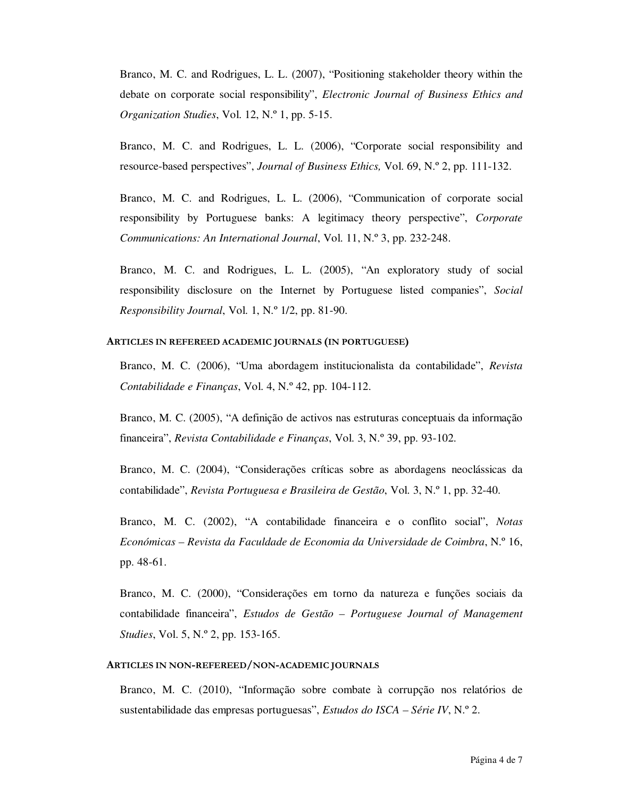Branco, M. C. and Rodrigues, L. L. (2007), "Positioning stakeholder theory within the debate on corporate social responsibility", *Electronic Journal of Business Ethics and Organization Studies*, Vol. 12, N.º 1, pp. 5-15.

Branco, M. C. and Rodrigues, L. L. (2006), "Corporate social responsibility and resource-based perspectives", *Journal of Business Ethics,* Vol. 69, N.º 2, pp. 111-132.

Branco, M. C. and Rodrigues, L. L. (2006), "Communication of corporate social responsibility by Portuguese banks: A legitimacy theory perspective", *Corporate Communications: An International Journal*, Vol. 11, N.º 3, pp. 232-248.

Branco, M. C. and Rodrigues, L. L. (2005), "An exploratory study of social responsibility disclosure on the Internet by Portuguese listed companies", *Social Responsibility Journal*, Vol. 1, N.º 1/2, pp. 81-90.

#### **ARTICLES IN REFEREED ACADEMIC JOURNALS (IN PORTUGUESE)**

Branco, M. C. (2006), "Uma abordagem institucionalista da contabilidade", *Revista Contabilidade e Finanças*, Vol. 4, N.º 42, pp. 104-112.

Branco, M. C. (2005), "A definição de activos nas estruturas conceptuais da informação financeira", *Revista Contabilidade e Finanças*, Vol. 3, N.º 39, pp. 93-102.

Branco, M. C. (2004), "Considerações críticas sobre as abordagens neoclássicas da contabilidade", *Revista Portuguesa e Brasileira de Gestão*, Vol. 3, N.º 1, pp. 32-40.

Branco, M. C. (2002), "A contabilidade financeira e o conflito social", *Notas Económicas – Revista da Faculdade de Economia da Universidade de Coimbra*, N.º 16, pp. 48-61.

Branco, M. C. (2000), "Considerações em torno da natureza e funções sociais da contabilidade financeira", *Estudos de Gestão – Portuguese Journal of Management Studies*, Vol. 5, N.º 2, pp. 153-165.

## **ARTICLES IN NON-REFEREED/NON-ACADEMIC JOURNALS**

Branco, M. C. (2010), "Informação sobre combate à corrupção nos relatórios de sustentabilidade das empresas portuguesas", *Estudos do ISCA – Série IV*, N.º 2.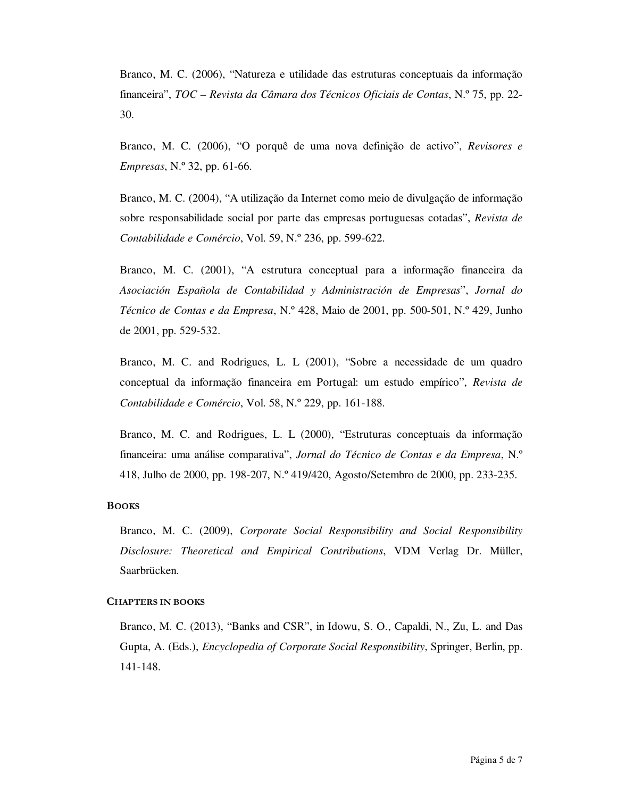Branco, M. C. (2006), "Natureza e utilidade das estruturas conceptuais da informação financeira", *TOC – Revista da Câmara dos Técnicos Oficiais de Contas*, N.º 75, pp. 22- 30.

Branco, M. C. (2006), "O porquê de uma nova definição de activo", *Revisores e Empresas*, N.º 32, pp. 61-66.

Branco, M. C. (2004), "A utilização da Internet como meio de divulgação de informação sobre responsabilidade social por parte das empresas portuguesas cotadas", *Revista de Contabilidade e Comércio*, Vol. 59, N.º 236, pp. 599-622.

Branco, M. C. (2001), "A estrutura conceptual para a informação financeira da *Asociación Española de Contabilidad y Administración de Empresas*", *Jornal do Técnico de Contas e da Empresa*, N.º 428, Maio de 2001, pp. 500-501, N.º 429, Junho de 2001, pp. 529-532.

Branco, M. C. and Rodrigues, L. L (2001), "Sobre a necessidade de um quadro conceptual da informação financeira em Portugal: um estudo empírico", *Revista de Contabilidade e Comércio*, Vol. 58, N.º 229, pp. 161-188.

Branco, M. C. and Rodrigues, L. L (2000), "Estruturas conceptuais da informação financeira: uma análise comparativa", *Jornal do Técnico de Contas e da Empresa*, N.º 418, Julho de 2000, pp. 198-207, N.º 419/420, Agosto/Setembro de 2000, pp. 233-235.

#### **BOOKS**

Branco, M. C. (2009), *Corporate Social Responsibility and Social Responsibility Disclosure: Theoretical and Empirical Contributions*, VDM Verlag Dr. Müller, Saarbrücken.

## **CHAPTERS IN BOOKS**

Branco, M. C. (2013), "Banks and CSR", in Idowu, S. O., Capaldi, N., Zu, L. and Das Gupta, A. (Eds.), *Encyclopedia of Corporate Social Responsibility*, Springer, Berlin, pp. 141-148.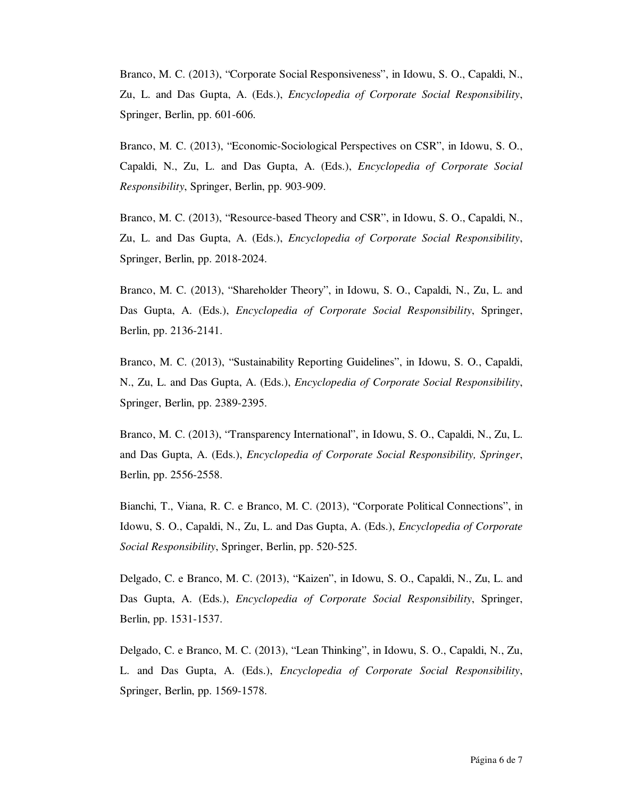Branco, M. C. (2013), "Corporate Social Responsiveness", in Idowu, S. O., Capaldi, N., Zu, L. and Das Gupta, A. (Eds.), *Encyclopedia of Corporate Social Responsibility*, Springer, Berlin, pp. 601-606.

Branco, M. C. (2013), "Economic-Sociological Perspectives on CSR", in Idowu, S. O., Capaldi, N., Zu, L. and Das Gupta, A. (Eds.), *Encyclopedia of Corporate Social Responsibility*, Springer, Berlin, pp. 903-909.

Branco, M. C. (2013), "Resource-based Theory and CSR", in Idowu, S. O., Capaldi, N., Zu, L. and Das Gupta, A. (Eds.), *Encyclopedia of Corporate Social Responsibility*, Springer, Berlin, pp. 2018-2024.

Branco, M. C. (2013), "Shareholder Theory", in Idowu, S. O., Capaldi, N., Zu, L. and Das Gupta, A. (Eds.), *Encyclopedia of Corporate Social Responsibility*, Springer, Berlin, pp. 2136-2141.

Branco, M. C. (2013), "Sustainability Reporting Guidelines", in Idowu, S. O., Capaldi, N., Zu, L. and Das Gupta, A. (Eds.), *Encyclopedia of Corporate Social Responsibility*, Springer, Berlin, pp. 2389-2395.

Branco, M. C. (2013), "Transparency International", in Idowu, S. O., Capaldi, N., Zu, L. and Das Gupta, A. (Eds.), *Encyclopedia of Corporate Social Responsibility, Springer*, Berlin, pp. 2556-2558.

Bianchi, T., Viana, R. C. e Branco, M. C. (2013), "Corporate Political Connections", in Idowu, S. O., Capaldi, N., Zu, L. and Das Gupta, A. (Eds.), *Encyclopedia of Corporate Social Responsibility*, Springer, Berlin, pp. 520-525.

Delgado, C. e Branco, M. C. (2013), "Kaizen", in Idowu, S. O., Capaldi, N., Zu, L. and Das Gupta, A. (Eds.), *Encyclopedia of Corporate Social Responsibility*, Springer, Berlin, pp. 1531-1537.

Delgado, C. e Branco, M. C. (2013), "Lean Thinking", in Idowu, S. O., Capaldi, N., Zu, L. and Das Gupta, A. (Eds.), *Encyclopedia of Corporate Social Responsibility*, Springer, Berlin, pp. 1569-1578.